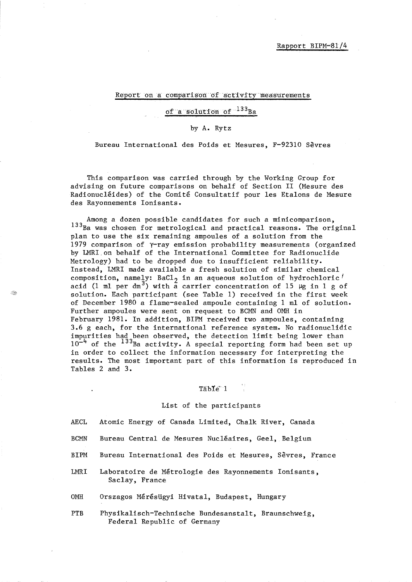## Report on a comparison of activity measurements

# of a solution of  $^{133}$ Ba

### by A. Rytz

Bureau International des Poids et Mesures, F-92310 Sevres

This comparison was carried through by the Working Group for advising on future comparisons on behalf of Section II (Mesure des Radionucléides) of the Comité Consultatif pour les Etalons de Mesure des Rayonnements Ionisants.

Among a dozen possible candidates for such a minicomparison, 133<sub>Ba</sub> was chosen for metrological and practical reasons. The original plan to use the six remaining ampoules of a solution from the 1979 comparison of y-ray emission probability measurements (organized by LMRI on behalf of the International Committee for Radionuclide Metrology) had to be dropped due to insufficient reliability. Instead, LMRI made available a fresh solution of similar chemical composition, namely: BaCl<sub>2</sub> in an aqueous solution of hydrochloric<sup>/</sup> acid (1 ml per dm<sup>3</sup>) with a carrier concentration of 15  $\mu$ g in 1 g of solution. Each participant (see Table 1) received in the first week of December 1980 a flame-sealed ampoule containing 1 ml of solution. Further ampoules were sent on request to BCMN and OMH in February 1981. In addition, BIPM received two ampoules, containing 3.6 g each, for the international reference system. No radionuclidic impurities had been observed, the detection limit being lower than  $10^{-4}$  of the  $^{133}$ Ba activity. A special reporting form had been set up in order to collect the information necessary for interpreting the results. The most important part of this information is reproduced in Tables 2 and 3.

#### Tăble<sup>1</sup>

#### List of the participants

| AECL.       | Atomic Energy of Canada Limited, Chalk River, Canada                    |
|-------------|-------------------------------------------------------------------------|
| <b>BCMN</b> | Bureau Central de Mesures Nucléaires, Geel, Belgium                     |
| BIPM        | Bureau International des Poids et Mesures, Sèvres, France               |
| LMRI        | Laboratoire de Métrologie des Rayonnements Ionisants,<br>Saclay, France |
| <b>OMH</b>  | Orszagos Mérésügyi Hivatal, Budapest, Hungary                           |
| <b>PTB</b>  | Physikalisch-Technische Bundesanstalt, Braunschweig,                    |

Federal Republic of Germany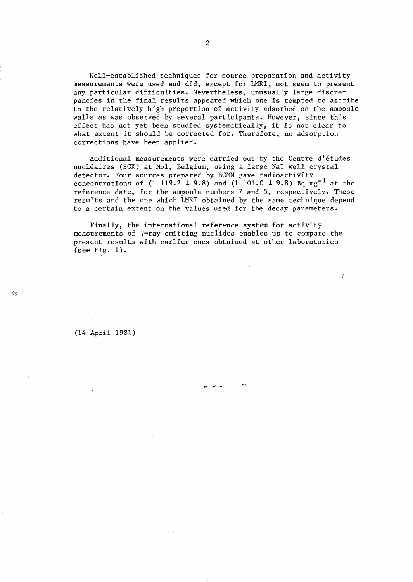Well-established techniques for source preparation and activity measurements were used and did, except for LMRI, not seem to present any particular difficulties. Nevertheless, unusually large discrepancies in the final results appeared which one is tempted to ascribe to the relatively high proportion of activity adsorbed on the ampoule walls as was observed by several participants. However, since this effect has not yet been studied systematically, it is not clear to what extent it should be corrected for. Therefore, no adsorption corrections have been applied.

Additional measurements were carried out by the Centre d'études nucléaires (SCK) at Mol, Belgium, using a large NaI well crystal detector. Four sources prepared by BCMN gave radioactivity concentrations of (1 119.2  $\pm$  9.8) and (1 101.0  $\pm$  9.8) Bq mg<sup>-1</sup> at the reference date, for the ampoule numbers 7 and 5, respectively. These results and the one which LMRI obtained by the same technique depend to a certain extent on the values used for the decay parameters.

Finally, the international reference system for activity measurements of  $\gamma$ -ray emitting nuclides enables us to compare the present results with earlier ones obtained at other laboratories (see Fig.  $1$ ).

**,\*'** *"'r"* '''',

(14 April 1981)

D.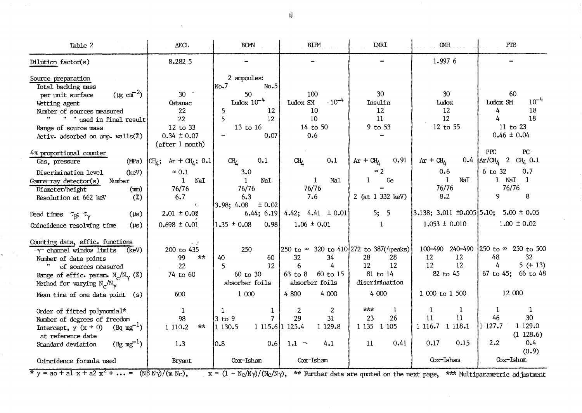| Table 2                                                                                                                                                                                         | AECL                                     | <b>BOM</b>                   | $\operatorname{BIM}$                            | <b>IMRI</b>        | <b>CMH</b>                                               | <b>PTB</b>                                                                            |  |  |  |
|-------------------------------------------------------------------------------------------------------------------------------------------------------------------------------------------------|------------------------------------------|------------------------------|-------------------------------------------------|--------------------|----------------------------------------------------------|---------------------------------------------------------------------------------------|--|--|--|
| Dilution factor(s)                                                                                                                                                                              | 8.282 5                                  |                              |                                                 |                    | 1.997 6                                                  |                                                                                       |  |  |  |
| Source preparation<br>Total backing mass                                                                                                                                                        |                                          | 2 ampoules:<br>No.5<br>No.7  |                                                 |                    |                                                          |                                                                                       |  |  |  |
| ( $\mu$ g cm <sup>-2</sup> )<br>per unit surface                                                                                                                                                | 30                                       | 50                           | 100                                             | 30                 | 30                                                       | 60                                                                                    |  |  |  |
| Wetting agent                                                                                                                                                                                   | Catanac                                  | Ludox $10^{-4}$              | $-10^{-4}$<br>Ludox SM                          | Insulin            | Ludox                                                    | $10^{-4}$<br>Ludox SM                                                                 |  |  |  |
| Number of sources measured                                                                                                                                                                      | 22                                       | 5<br>12                      | 10                                              | 12                 | 12                                                       | 18<br>4                                                                               |  |  |  |
| " " used in final result                                                                                                                                                                        | 22                                       | 5<br>12                      | 10                                              | 11                 | 12                                                       | 18<br>4                                                                               |  |  |  |
| Range of source mass                                                                                                                                                                            | 12 to 33                                 | 13 to 16                     | 14 to 50                                        | 9 to 53            | 12 to 55                                                 | 11 to 23                                                                              |  |  |  |
| Activ. adsorbed on amp. $\text{walks}(\%)$                                                                                                                                                      | $0.34 \pm 0.07$                          | 0.07                         | 0.6                                             |                    |                                                          | $0.46 \pm 0.04$                                                                       |  |  |  |
|                                                                                                                                                                                                 | (after 1 month)                          |                              |                                                 |                    |                                                          |                                                                                       |  |  |  |
| 4 $\pi$ proportional counter                                                                                                                                                                    |                                          |                              |                                                 |                    |                                                          | PC<br><b>PPC</b>                                                                      |  |  |  |
| (MPa)<br>Gas, pressure                                                                                                                                                                          | Ar + CH <sub>4</sub> ; 0.1<br>$ CH_{L};$ | 0.1<br>CH <sub>4</sub>       | 0.1<br>CH <sub>4</sub>                          | 0.91<br>$Ar + CHA$ | $Ar + CH$                                                | $0.4$ $\text{Ar}/\text{CH}_h$<br>$\overline{2}$<br>CH <sub><math>\mu</math></sub> 0.1 |  |  |  |
| (keV)<br>Discrimination level                                                                                                                                                                   | $\approx 0.1$                            | 3.0                          |                                                 | $\approx$ 2        | 0.6                                                      | 6 to 32<br>0.7                                                                        |  |  |  |
| Gamma-ray detector(s)<br>Number                                                                                                                                                                 | NaI<br>$\mathbf 1$                       | $\mathbf{1}$<br>NaI          | 1<br>NaI                                        | $\mathbf{1}$<br>Ge | NaI<br>$\mathbf{1}$                                      | NaI<br>$\mathbf{1}$<br>$\mathbf{1}$                                                   |  |  |  |
| Diameter/height<br>(mm)                                                                                                                                                                         | 76/76                                    | 76/76                        | 76/76                                           |                    | 76/76                                                    | 76/76                                                                                 |  |  |  |
| $(\%)$<br>Resolution at 662 keV                                                                                                                                                                 | 6.7                                      | 6.3                          | 7.6                                             | 2 (at 1 332 keV)   | 8.2                                                      | 9<br>8                                                                                |  |  |  |
|                                                                                                                                                                                                 | $\mathcal{R}$                            | 3.98; 4.08<br>± 0.02         |                                                 |                    |                                                          |                                                                                       |  |  |  |
| $(\mu s)$<br>Dead times $\tau_{\beta}$ ; $\tau_{\gamma}$                                                                                                                                        | $2.01 \pm 0.02$                          | 6.44; 6.19                   | $4.41 \pm 0.01$<br>4.42;                        | 5; 5               | $\left 3.138; 3.011 \pm 0.005\right 5.10; 5.00 \pm 0.05$ |                                                                                       |  |  |  |
| $(\mu s)$<br>Coincidence resolving time                                                                                                                                                         | $0.698 \pm 0.01$                         | $1.35 \pm 0.08$<br>0.98      | $1.06 \pm 0.01$                                 | $\mathbf{1}$       | $1.053 \pm 0.010$                                        | $1.00 \pm 0.02$                                                                       |  |  |  |
| Counting data, effic. functions                                                                                                                                                                 | $\sim$ - $^{*}_{\infty}$                 |                              |                                                 |                    |                                                          |                                                                                       |  |  |  |
| $\gamma$ channel window limits<br>(keV)                                                                                                                                                         | 200 to 435                               | 250                          | 250 to $\infty$ 320 to 410 272 to 387 (4 peaks) |                    | 240-490<br>100-490                                       | 250 to ∞<br>250 to 500                                                                |  |  |  |
| Number of data points                                                                                                                                                                           | 99<br>**                                 | 40<br>60                     | 32<br>34                                        | 28<br>28           | 12<br>12                                                 | 32<br>48                                                                              |  |  |  |
| of sources measured                                                                                                                                                                             | 22                                       | 12<br>5                      | 6<br>4                                          | 12<br>12           | 12<br>12                                                 | 4<br>$5(+13)$                                                                         |  |  |  |
| Range of effic. param. $N_c/N_{\gamma}$ (%)                                                                                                                                                     | 74 to 60                                 | 60 to 30                     | 63 to 8<br>60 to 15                             | 81 to 14           | 82 to 45                                                 | 67 to 45; 66 to 48                                                                    |  |  |  |
| Method for varying $N_{\alpha}/N_{\gamma}$                                                                                                                                                      |                                          | absorber foils               | absorber foils                                  | discrimination     |                                                          |                                                                                       |  |  |  |
| Mean time of one data point $(s)$                                                                                                                                                               | 600                                      | 1 000                        | 4 800<br>4 000                                  | 4 000              | 1 000 to 1 500                                           | 12 000                                                                                |  |  |  |
| Order of fitted polynomial*                                                                                                                                                                     | $\mathbf{1}$                             | $\mathbf{1}$<br>1            | $\mathbf{2}$<br>$\overline{c}$                  | ***<br>1           | 1<br>$\mathbf{1}$                                        | 1<br>1                                                                                |  |  |  |
| Number of degrees of freedom                                                                                                                                                                    | 98                                       | $\overline{7}$<br>$3$ to $9$ | 29<br>31                                        | 23<br>26           | 11<br>11                                                 | 46<br>30                                                                              |  |  |  |
| $(Bq mg^{-1})$<br>Intercept, $y(x \rightarrow 0)$                                                                                                                                               | 1 110.2<br>$**$                          | 1 115.6 1 125.4<br>1 130.5   | 1 1 29.8                                        | 1 1 35 1 1 05      | 1 116.7 1 118.1                                          | 1 1 29.0<br>1 127.7                                                                   |  |  |  |
| at reference date                                                                                                                                                                               |                                          |                              |                                                 |                    |                                                          | $(1\ 128.6)$                                                                          |  |  |  |
| $(Bg mg^{-1})$<br>Standard deviation                                                                                                                                                            | 1.3                                      | 0.8 <br>0.6                  | $1.1 -$<br>4.1                                  | 11<br>0.41         | 0.17<br>0.15                                             | 0.4<br>2.2                                                                            |  |  |  |
|                                                                                                                                                                                                 |                                          |                              |                                                 |                    |                                                          | (0.9)                                                                                 |  |  |  |
| Coincidence formula used                                                                                                                                                                        | Bryant                                   | Cox-Isham                    | Cox-Isham                                       |                    | Cox-Isham                                                | Cox-Isham                                                                             |  |  |  |
| * y = ao + al x + a2 x <sup>2</sup> +  = (N $\beta$ N $\gamma$ )/(m Nc),<br>$x = (1 - N_C/N\gamma)/(N_C/N\gamma)$ , ** Further data are quoted on the next page, *** Multiparametric adjustment |                                          |                              |                                                 |                    |                                                          |                                                                                       |  |  |  |

 $\sim 0.1$ 

\$

 $\sim$ 

e in t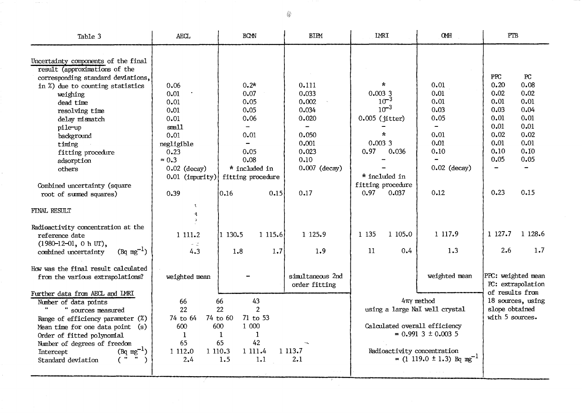| Table 3                                                                                                                                                                                                                                                                                                                     | AECL                                                                                                                                                                                                     | <b>BCM</b>                                                                                                         | <b>BIPM</b>                                                                                                     | <b>IMRI</b>                                                                                                                                                                                                                                                                               | <b>CMH</b>                                                                                                 | PTB                                                                                                                                                                                        |
|-----------------------------------------------------------------------------------------------------------------------------------------------------------------------------------------------------------------------------------------------------------------------------------------------------------------------------|----------------------------------------------------------------------------------------------------------------------------------------------------------------------------------------------------------|--------------------------------------------------------------------------------------------------------------------|-----------------------------------------------------------------------------------------------------------------|-------------------------------------------------------------------------------------------------------------------------------------------------------------------------------------------------------------------------------------------------------------------------------------------|------------------------------------------------------------------------------------------------------------|--------------------------------------------------------------------------------------------------------------------------------------------------------------------------------------------|
| Uncertainty components of the final<br>result (approximations of the<br>corresponding standard deviations,<br>in %) due to counting statistics<br>weighing<br>dead time<br>resolving time<br>delay mismatch<br>pile-up<br>background<br>timing<br>fitting procedure<br>adsorption<br>others<br>Combined uncertainty (square | 0.06<br>0.01<br>0.01<br>0.01<br>0.01<br>small<br>0.01<br>negligible<br>0.23<br>$\approx 0.3$<br>$0.02$ (decay)<br>$0.01$ (impurity)                                                                      | $0.2*$<br>0.07<br>0.05<br>0.05<br>0.06<br>0.01<br>$\equiv$<br>0.05<br>0.08<br>$*$ included in<br>fitting procedure | 0.111<br>0.033<br>0.002<br>0.034<br>0.020<br>$\blacksquare$<br>0.050<br>0.001<br>0.023<br>0.10<br>0.007 (decay) | *<br>0.0033<br>$10^{-3}$<br>$10^{-3}$<br>$0.005$ (jitter)<br>$\mathbf{x}$<br>0.0033<br>0.97<br>0.036<br>* included in<br>fitting procedure                                                                                                                                                | 0.01<br>0.01<br>0.01<br>0.03<br>0.05<br>$\overline{\phantom{0}}$<br>0.01<br>0.01<br>0.10<br>$0.02$ (decay) | ${\tt PPC}$<br>$_{\rm PC}$<br>0.20<br>0.08<br>0.02<br>0.02<br>0.01<br>0.01<br>0.03<br>0.04<br>0.01<br>0.01<br>0.01<br>0.01<br>0.02<br>0.02<br>0.01<br>0.01<br>0.10<br>0.10<br>0.05<br>0.05 |
| root of summed squares)                                                                                                                                                                                                                                                                                                     | 0.39                                                                                                                                                                                                     | 0.16 <br>0.15                                                                                                      | 0.17                                                                                                            | 0.97<br>0.037                                                                                                                                                                                                                                                                             | 0.12                                                                                                       | 0.23<br>0.15                                                                                                                                                                               |
| FINAL RESULT<br>Radioactivity concentration at the<br>reference date<br>$(1980-12-01, 0 h UT),$<br>$(Bq mg^{-1})$<br>combined uncertainty                                                                                                                                                                                   | x<br>课<br>Ñ,<br>1 111.2<br>$\sim 12$<br>4.3                                                                                                                                                              | $ 1\>130.5$<br>1 115.6<br>1.7<br>1.8                                                                               | 1 125.9<br>1.9                                                                                                  | 1 105.0<br>1 1 3 5<br>11<br>0.4                                                                                                                                                                                                                                                           | 1 117.9<br>1.3                                                                                             | 1 127.7<br>1 1 28.6<br>2.6<br>1.7                                                                                                                                                          |
| How was the final result calculated<br>from the various extrapolations?<br>Further data from AECL and LMRI                                                                                                                                                                                                                  | weighted mean                                                                                                                                                                                            |                                                                                                                    | simultaneous 2nd<br>order fitting                                                                               |                                                                                                                                                                                                                                                                                           | weighted mean                                                                                              | PPC: weighted mean<br>PC: extrapolation<br>of results from                                                                                                                                 |
| Number of data points<br>ŶF.<br>" sources measured<br>Range of efficiency parameter $(\%)$<br>Mean time for one data point (s)<br>Order of fitted polynomial<br>Number of degrees of freedom<br>$(Bq mg^{-1})$<br>Intercept<br>- 88<br>Standard deviation                                                                   | 43<br>66<br>66<br>22<br>$\overline{2}$<br>22<br>74 to 60<br>71 to 53<br>74 to 64<br>1 000<br>600<br>600<br>$\mathbf 1$<br>1<br>1<br>42<br>65<br>65<br>1 111.4<br>1 112.0<br>1 110.3<br>1.1<br>2.4<br>1.5 |                                                                                                                    | 1 1 1 3.7<br>2.1                                                                                                | $4\pi\gamma$ method<br>using a large NaI well crystal<br>Calculated overall efficiency<br>$= 0.991$ 3 ± 0.003 5<br>Radioactivity concentration<br>$=$ (1 119.0 $\pm$ 1.3) Bq mg <sup>-1</sup><br>$\mathcal{A}(\mathcal{A})$ , and $\mathcal{A}(\mathcal{A})$ , $\mathcal{A}(\mathcal{A})$ |                                                                                                            | 18 sources, using<br>slope obtained<br>with 5 sources.                                                                                                                                     |

♦